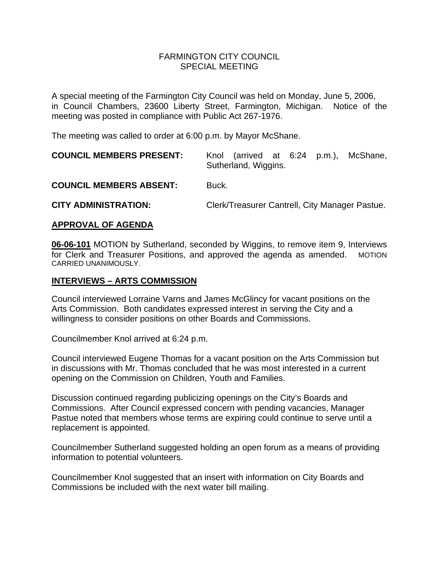#### FARMINGTON CITY COUNCILSPECIAL MEETING

A special meeting of the Farmington City Council was held on Monday, June 5, 2006, in Council Chambers, 23600 Liberty Street, Farmington, Michigan. Notice of the meeting was posted in compliance with Public Act 267-1976.

The meeting was called to order at 6:00 p.m. by Mayor McShane.

| <b>COUNCIL MEMBERS PRESENT:</b> | Knol (arrived at 6:24 p.m.),<br>McShane,<br>Sutherland, Wiggins. |
|---------------------------------|------------------------------------------------------------------|
| <b>COUNCIL MEMBERS ABSENT:</b>  | Buck.                                                            |
| <b>CITY ADMINISTRATION:</b>     | Clerk/Treasurer Cantrell, City Manager Pastue.                   |

#### **APPROVAL OF AGENDA**

**06-06-101** MOTION by Sutherland, seconded by Wiggins, to remove item 9, Interviews for Clerk and Treasurer Positions, and approved the agenda as amended. MOTION CARRIED UNANIMOUSLY.

### **INTERVIEWS – ARTS COMMISSION**

Council interviewed Lorraine Varns and James McGlincy for vacant positions on the Arts Commission. Both candidates expressed interest in serving the City and a willingness to consider positions on other Boards and Commissions.

Councilmember Knol arrived at 6:24 p.m.

Council interviewed Eugene Thomas for a vacant position on the Arts Commission but in discussions with Mr. Thomas concluded that he was most interested in a current opening on the Commission on Children, Youth and Families.

Discussion continued regarding publicizing openings on the City's Boards and Commissions. After Council expressed concern with pending vacancies, Manager Pastue noted that members whose terms are expiring could continue to serve until a replacement is appointed.

Councilmember Sutherland suggested holding an open forum as a means of providing information to potential volunteers.

Councilmember Knol suggested that an insert with information on City Boards and Commissions be included with the next water bill mailing.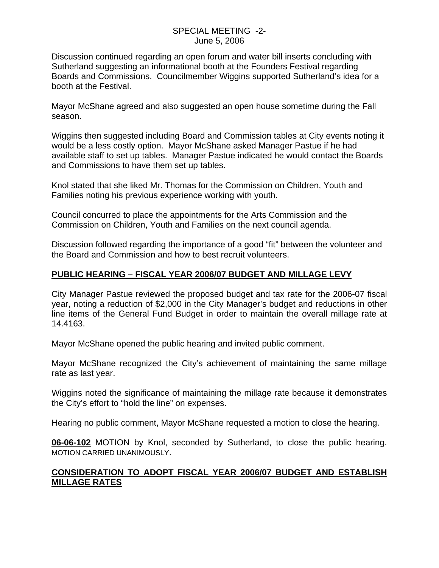### SPECIAL MEETING -2- June 5, 2006

Discussion continued regarding an open forum and water bill inserts concluding with Sutherland suggesting an informational booth at the Founders Festival regarding Boards and Commissions. Councilmember Wiggins supported Sutherland's idea for a booth at the Festival.

Mayor McShane agreed and also suggested an open house sometime during the Fall season.

Wiggins then suggested including Board and Commission tables at City events noting it would be a less costly option. Mayor McShane asked Manager Pastue if he had available staff to set up tables. Manager Pastue indicated he would contact the Boards and Commissions to have them set up tables.

Knol stated that she liked Mr. Thomas for the Commission on Children, Youth and Families noting his previous experience working with youth.

Council concurred to place the appointments for the Arts Commission and the Commission on Children, Youth and Families on the next council agenda.

Discussion followed regarding the importance of a good "fit" between the volunteer and the Board and Commission and how to best recruit volunteers.

# **PUBLIC HEARING – FISCAL YEAR 2006/07 BUDGET AND MILLAGE LEVY**

City Manager Pastue reviewed the proposed budget and tax rate for the 2006-07 fiscal year, noting a reduction of \$2,000 in the City Manager's budget and reductions in other line items of the General Fund Budget in order to maintain the overall millage rate at 14.4163.

Mayor McShane opened the public hearing and invited public comment.

Mayor McShane recognized the City's achievement of maintaining the same millage rate as last year.

Wiggins noted the significance of maintaining the millage rate because it demonstrates the City's effort to "hold the line" on expenses.

Hearing no public comment, Mayor McShane requested a motion to close the hearing.

**06-06-102** MOTION by Knol, seconded by Sutherland, to close the public hearing. MOTION CARRIED UNANIMOUSLY.

## **CONSIDERATION TO ADOPT FISCAL YEAR 2006/07 BUDGET AND ESTABLISH MILLAGE RATES**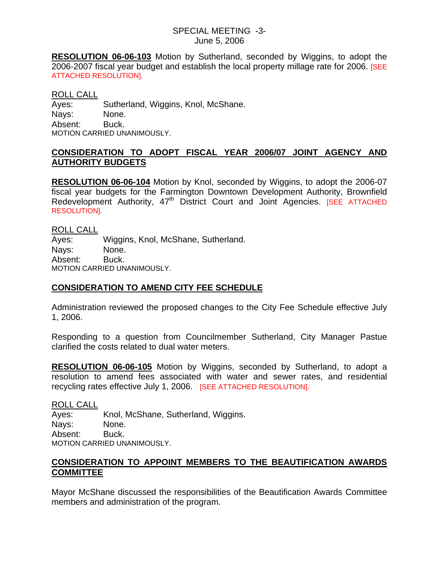#### SPECIAL MEETING -3- June 5, 2006

**RESOLUTION 06-06-103** Motion by Sutherland, seconded by Wiggins, to adopt the 2006-2007 fiscal year budget and establish the local property millage rate for 2006. **[SEE**] ATTACHED RESOLUTION].

#### ROLL CALL

Ayes: Sutherland, Wiggins, Knol, McShane. Nays: None. Absent: Buck. MOTION CARRIED UNANIMOUSLY.

### **CONSIDERATION TO ADOPT FISCAL YEAR 2006/07 JOINT AGENCY AND AUTHORITY BUDGETS**

**RESOLUTION 06-06-104** Motion by Knol, seconded by Wiggins, to adopt the 2006-07 fiscal year budgets for the Farmington Downtown Development Authority, Brownfield Redevelopment Authority, 47<sup>th</sup> District Court and Joint Agencies. [SEE ATTACHED RESOLUTION].

ROLL CALL Ayes: Wiggins, Knol, McShane, Sutherland. Nays: None. Absent: Buck. MOTION CARRIED UNANIMOUSLY.

## **CONSIDERATION TO AMEND CITY FEE SCHEDULE**

Administration reviewed the proposed changes to the City Fee Schedule effective July 1, 2006.

Responding to a question from Councilmember Sutherland, City Manager Pastue clarified the costs related to dual water meters.

**RESOLUTION 06-06-105** Motion by Wiggins, seconded by Sutherland, to adopt a resolution to amend fees associated with water and sewer rates, and residential recycling rates effective July 1, 2006. [SEE ATTACHED RESOLUTION].

ROLL CALL

Ayes: Knol, McShane, Sutherland, Wiggins. Nays: None. Absent: Buck. MOTION CARRIED UNANIMOUSLY.

## **CONSIDERATION TO APPOINT MEMBERS TO THE BEAUTIFICATION AWARDS COMMITTEE**

Mayor McShane discussed the responsibilities of the Beautification Awards Committee members and administration of the program.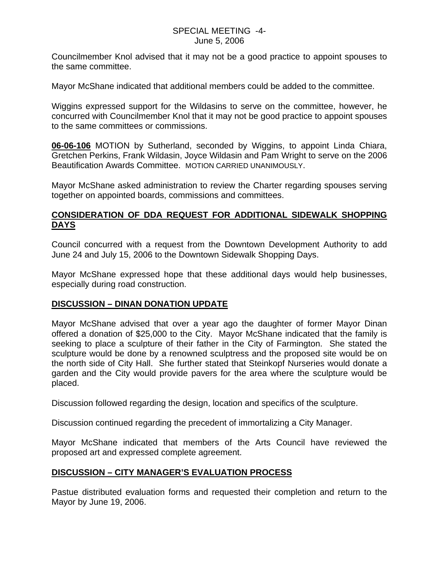### SPECIAL MEETING -4- June 5, 2006

Councilmember Knol advised that it may not be a good practice to appoint spouses to the same committee.

Mayor McShane indicated that additional members could be added to the committee.

Wiggins expressed support for the Wildasins to serve on the committee, however, he concurred with Councilmember Knol that it may not be good practice to appoint spouses to the same committees or commissions.

**06-06-106** MOTION by Sutherland, seconded by Wiggins, to appoint Linda Chiara, Gretchen Perkins, Frank Wildasin, Joyce Wildasin and Pam Wright to serve on the 2006 Beautification Awards Committee. MOTION CARRIED UNANIMOUSLY.

Mayor McShane asked administration to review the Charter regarding spouses serving together on appointed boards, commissions and committees.

## **CONSIDERATION OF DDA REQUEST FOR ADDITIONAL SIDEWALK SHOPPING DAYS**

Council concurred with a request from the Downtown Development Authority to add June 24 and July 15, 2006 to the Downtown Sidewalk Shopping Days.

Mayor McShane expressed hope that these additional days would help businesses, especially during road construction.

### **DISCUSSION – DINAN DONATION UPDATE**

Mayor McShane advised that over a year ago the daughter of former Mayor Dinan offered a donation of \$25,000 to the City. Mayor McShane indicated that the family is seeking to place a sculpture of their father in the City of Farmington. She stated the sculpture would be done by a renowned sculptress and the proposed site would be on the north side of City Hall. She further stated that Steinkopf Nurseries would donate a garden and the City would provide pavers for the area where the sculpture would be placed.

Discussion followed regarding the design, location and specifics of the sculpture.

Discussion continued regarding the precedent of immortalizing a City Manager.

Mayor McShane indicated that members of the Arts Council have reviewed the proposed art and expressed complete agreement.

# **DISCUSSION – CITY MANAGER'S EVALUATION PROCESS**

Pastue distributed evaluation forms and requested their completion and return to the Mayor by June 19, 2006.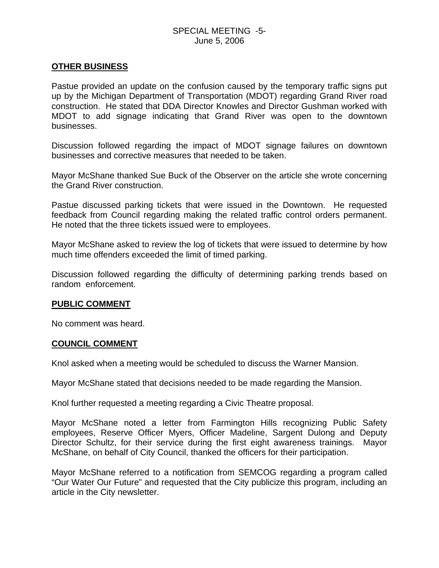### SPECIAL MEETING -5- June 5, 2006

### **OTHER BUSINESS**

Pastue provided an update on the confusion caused by the temporary traffic signs put up by the Michigan Department of Transportation (MDOT) regarding Grand River road construction. He stated that DDA Director Knowles and Director Gushman worked with MDOT to add signage indicating that Grand River was open to the downtown businesses.

Discussion followed regarding the impact of MDOT signage failures on downtown businesses and corrective measures that needed to be taken.

Mayor McShane thanked Sue Buck of the Observer on the article she wrote concerning the Grand River construction.

Pastue discussed parking tickets that were issued in the Downtown. He requested feedback from Council regarding making the related traffic control orders permanent. He noted that the three tickets issued were to employees.

Mayor McShane asked to review the log of tickets that were issued to determine by how much time offenders exceeded the limit of timed parking.

Discussion followed regarding the difficulty of determining parking trends based on random enforcement.

#### **PUBLIC COMMENT**

No comment was heard.

#### **COUNCIL COMMENT**

Knol asked when a meeting would be scheduled to discuss the Warner Mansion.

Mayor McShane stated that decisions needed to be made regarding the Mansion.

Knol further requested a meeting regarding a Civic Theatre proposal.

Mayor McShane noted a letter from Farmington Hills recognizing Public Safety employees, Reserve Officer Myers, Officer Madeline, Sargent Dulong and Deputy Director Schultz, for their service during the first eight awareness trainings. Mayor McShane, on behalf of City Council, thanked the officers for their participation.

Mayor McShane referred to a notification from SEMCOG regarding a program called "Our Water Our Future" and requested that the City publicize this program, including an article in the City newsletter.